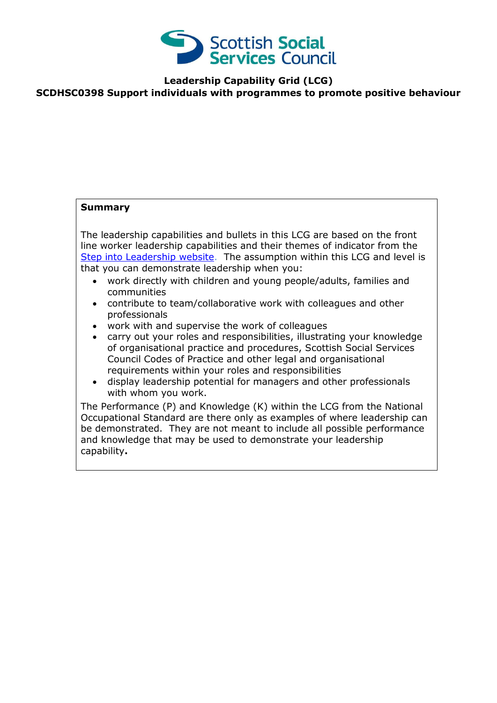

**Leadership Capability Grid (LCG)**

#### **SCDHSC0398 Support individuals with programmes to promote positive behaviour**

#### **Summary**

The leadership capabilities and bullets in this LCG are based on the front line worker leadership capabilities and their themes of indicator from the [Step into Leadership website.](http://www.stepintoleadership.info/) The assumption within this LCG and level is that you can demonstrate leadership when you:

- work directly with children and young people/adults, families and communities
- contribute to team/collaborative work with colleagues and other professionals
- work with and supervise the work of colleagues
- carry out your roles and responsibilities, illustrating your knowledge of organisational practice and procedures, Scottish Social Services Council Codes of Practice and other legal and organisational requirements within your roles and responsibilities
- display leadership potential for managers and other professionals with whom you work.

The Performance (P) and Knowledge (K) within the LCG from the National Occupational Standard are there only as examples of where leadership can be demonstrated. They are not meant to include all possible performance and knowledge that may be used to demonstrate your leadership capability**.**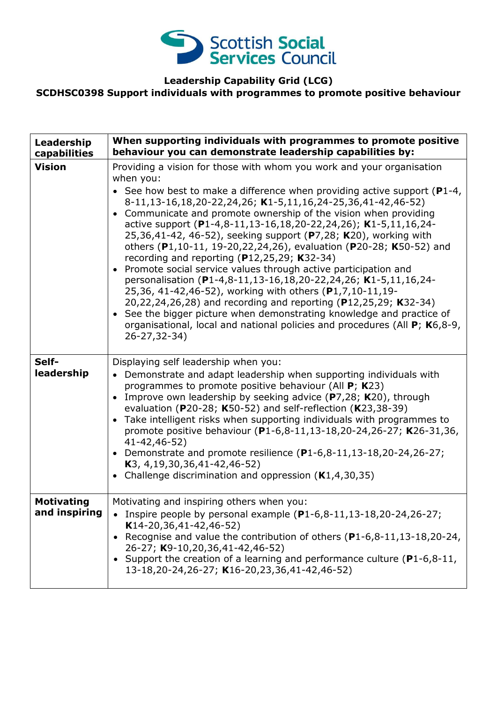

# **Leadership Capability Grid (LCG)**

## **SCDHSC0398 Support individuals with programmes to promote positive behaviour**

| Leadership<br>capabilities         | When supporting individuals with programmes to promote positive<br>behaviour you can demonstrate leadership capabilities by:                                                                                                                                                                                                                                                                                                                                                                                                                                                                                                                                                                                       |
|------------------------------------|--------------------------------------------------------------------------------------------------------------------------------------------------------------------------------------------------------------------------------------------------------------------------------------------------------------------------------------------------------------------------------------------------------------------------------------------------------------------------------------------------------------------------------------------------------------------------------------------------------------------------------------------------------------------------------------------------------------------|
| <b>Vision</b>                      | Providing a vision for those with whom you work and your organisation<br>when you:<br>• See how best to make a difference when providing active support ( $P1-4$ ,<br>8-11,13-16,18,20-22,24,26; K1-5,11,16,24-25,36,41-42,46-52)<br>• Communicate and promote ownership of the vision when providing<br>active support (P1-4,8-11,13-16,18,20-22,24,26); K1-5,11,16,24-<br>25,36,41-42, 46-52), seeking support (P7,28; K20), working with<br>others (P1,10-11, 19-20,22,24,26), evaluation (P20-28; K50-52) and<br>recording and reporting (P12,25,29; K32-34)<br>Promote social service values through active participation and<br>$\bullet$<br>personalisation (P1-4,8-11,13-16,18,20-22,24,26; K1-5,11,16,24- |
|                                    | 25,36, 41-42,46-52), working with others (P1,7,10-11,19-<br>20,22,24,26,28) and recording and reporting (P12,25,29; K32-34)<br>• See the bigger picture when demonstrating knowledge and practice of<br>organisational, local and national policies and procedures (All P; K6,8-9,<br>26-27,32-34)                                                                                                                                                                                                                                                                                                                                                                                                                 |
| Self-<br>leadership                | Displaying self leadership when you:<br>Demonstrate and adapt leadership when supporting individuals with<br>programmes to promote positive behaviour (All P; K23)<br>Improve own leadership by seeking advice (P7,28; K20), through<br>evaluation (P20-28; K50-52) and self-reflection (K23,38-39)<br>• Take intelligent risks when supporting individuals with programmes to<br>promote positive behaviour (P1-6,8-11,13-18,20-24,26-27; K26-31,36,<br>41-42,46-52)<br>• Demonstrate and promote resilience $(P1-6, 8-11, 13-18, 20-24, 26-27;$<br>K3, 4, 19, 30, 36, 41 - 42, 46 - 52)<br>Challenge discrimination and oppression $(K1, 4, 30, 35)$<br>$\bullet$                                                |
| <b>Motivating</b><br>and inspiring | Motivating and inspiring others when you:<br>• Inspire people by personal example $(P1-6,8-11,13-18,20-24,26-27)$<br>$K14-20,36,41-42,46-52)$<br>Recognise and value the contribution of others (P1-6,8-11,13-18,20-24,<br>26-27; K9-10,20,36,41-42,46-52)<br>• Support the creation of a learning and performance culture ( $P1-6,8-11$ ,<br>13-18,20-24,26-27; K16-20,23,36,41-42,46-52)                                                                                                                                                                                                                                                                                                                         |